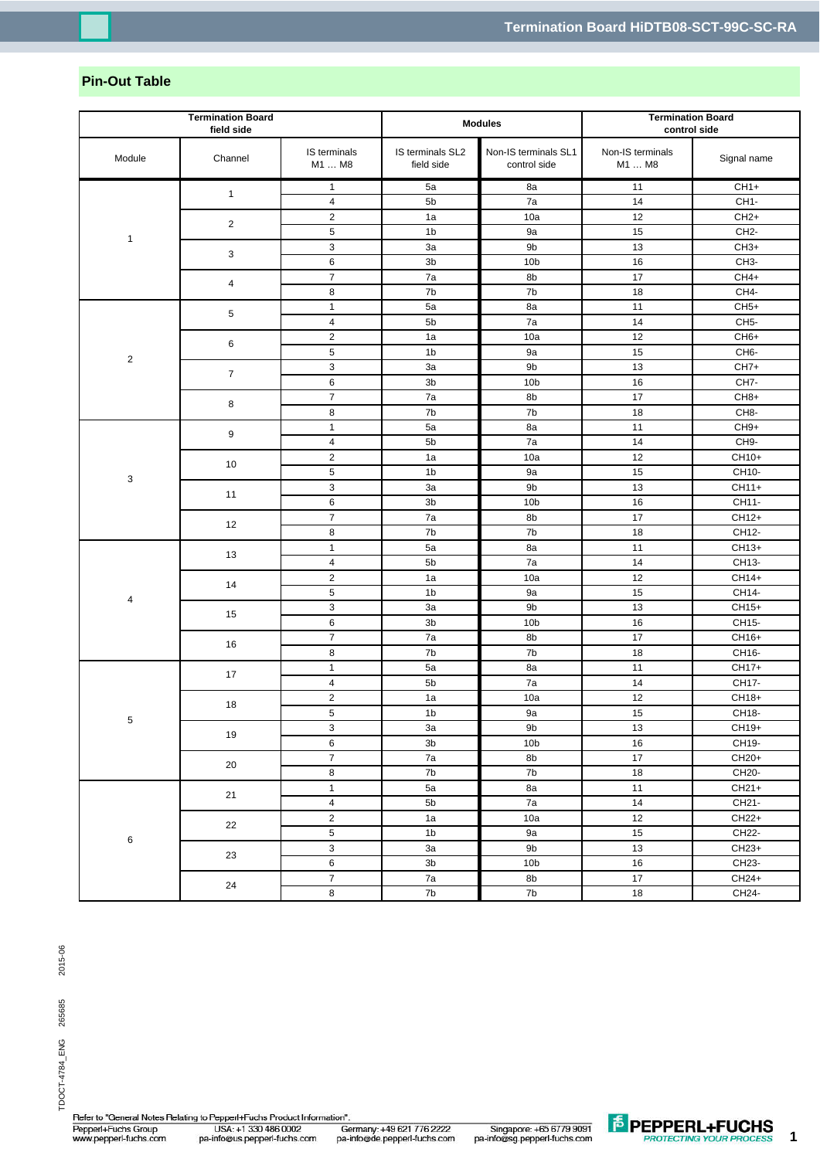## **Pin-Out Table**

| <b>Termination Board</b><br>field side |                | <b>Modules</b>            |                                | <b>Termination Board</b><br>control side |                            |                   |
|----------------------------------------|----------------|---------------------------|--------------------------------|------------------------------------------|----------------------------|-------------------|
| Module                                 | Channel        | IS terminals<br>M1  M8    | IS terminals SL2<br>field side | Non-IS terminals SL1<br>control side     | Non-IS terminals<br>M1  M8 | Signal name       |
|                                        |                | $\mathbf{1}$              | 5a                             | 8a                                       | 11                         | $CH1+$            |
|                                        | $\mathbf{1}$   | $\overline{4}$            | 5b                             | 7a                                       | 14                         | CH <sub>1</sub> - |
|                                        | $\overline{2}$ | $\overline{2}$            | 1a                             | 10a                                      | 12                         | $CH2+$            |
|                                        |                | $\mathbf 5$               | 1 <sub>b</sub>                 | 9a                                       | 15                         | CH <sub>2</sub> - |
| $\mathbf{1}$                           | 3              | $\ensuremath{\mathsf{3}}$ | 3a                             | 9b                                       | 13                         | $CH3+$            |
|                                        |                | 6                         | 3b                             | 10 <sub>b</sub>                          | 16                         | CH <sub>3</sub> - |
|                                        | 4              | $\overline{\mathbf{7}}$   | 7a                             | 8b                                       | 17                         | $CH4+$            |
|                                        |                | 8                         | 7b                             | 7b                                       | 18                         | CH4-              |
|                                        | 5              | $\mathbf{1}$              | 5a                             | 8a                                       | 11                         | $CH5+$            |
|                                        |                | $\pmb{4}$                 | 5b                             | 7a                                       | 14                         | CH <sub>5</sub> - |
|                                        | 6              | $\boldsymbol{2}$          | 1a                             | 10a                                      | 12                         | CH <sub>6+</sub>  |
| $\overline{c}$                         |                | 5                         | 1 <sub>b</sub>                 | 9a                                       | 15                         | CH <sub>6</sub> - |
|                                        | $\overline{7}$ | 3                         | 3a                             | 9b                                       | 13                         | $CH7+$            |
|                                        |                | 6                         | 3 <sub>b</sub>                 | 10 <sub>b</sub>                          | 16                         | CH7-              |
|                                        | 8              | $\overline{7}$            | 7a                             | 8b                                       | 17                         | CH <sub>8+</sub>  |
|                                        |                | 8                         | 7b                             | 7b                                       | $18$                       | CH <sub>8</sub> - |
|                                        | 9              | $\mathbf{1}$              | 5a                             | 8a                                       | 11                         | $CH9+$            |
|                                        |                | $\pmb{4}$                 | 5b                             | 7a                                       | 14                         | CH9-              |
|                                        | 10             | $\overline{2}$            | 1a                             | 10a                                      | 12                         | CH10+             |
| 3                                      |                | $\,$ 5 $\,$               | 1 <sub>b</sub>                 | 9a                                       | 15                         | CH10-             |
|                                        | 11             | $\ensuremath{\mathsf{3}}$ | 3a                             | 9b                                       | 13                         | CH11+             |
|                                        |                | 6                         | 3 <sub>b</sub>                 | 10 <sub>b</sub>                          | 16                         | CH11-             |
|                                        | 12             | $\overline{7}$            | 7a                             | 8b                                       | 17                         | CH12+             |
|                                        |                | 8                         | 7b                             | 7b                                       | 18                         | CH12-             |
|                                        | 13             | $\mathbf{1}$              | 5a                             | 8a                                       | 11                         | CH13+             |
|                                        |                | $\overline{4}$            | 5b                             | 7a                                       | 14                         | CH13-             |
|                                        | 14             | $\overline{2}$            | 1a                             | 10a                                      | 12                         | CH14+             |
| 4                                      |                | $\,$ 5 $\,$               | 1 <sub>b</sub>                 | 9a                                       | 15                         | CH14-             |
|                                        | 15             | 3                         | 3a                             | 9b                                       | 13                         | CH15+             |
|                                        |                | 6                         | 3b                             | 10 <sub>b</sub>                          | 16                         | CH15-             |
|                                        | 16             | $\overline{\mathbf{7}}$   | 7a                             | 8b                                       | 17                         | CH16+             |
|                                        |                | 8                         | 7b                             | 7b                                       | 18                         | CH16-             |
| 5<br>6                                 | 17<br>18       | $\mathbf{1}$              | 5a                             | 8a                                       | 11                         | CH17+             |
|                                        |                | $\overline{\mathbf{4}}$   | 5b                             | 7a                                       | 14                         | CH17-             |
|                                        |                | $\mathbf 2$               | 1a                             | 10a                                      | 12                         | CH18+             |
|                                        |                | 5                         | 1 <sub>b</sub>                 | 9a                                       | 15                         | CH18-             |
|                                        | 19             | 3                         | За                             | 9b                                       | 13                         | CH19+             |
|                                        |                | $\,6\,$                   | $3\mathsf{b}$                  | 10 <sub>b</sub>                          | $16\,$                     | CH19-             |
|                                        | 20<br>21       | $\overline{7}$            | 7a                             | 8b                                       | $\overline{17}$            | CH20+             |
|                                        |                | 8                         | 7b                             | 7b                                       | 18                         | CH20-             |
|                                        |                | $\mathbf{1}$              | 5a                             | 8a                                       | 11                         | CH21+             |
|                                        |                | $\overline{\mathbf{4}}$   | 5 <sub>b</sub>                 | 7a                                       | $14$                       | CH21-             |
|                                        | 22             | $\overline{c}$            | 1a                             | 10a                                      | 12                         | CH22+             |
|                                        |                | 5                         | 1 <sub>b</sub>                 | 9a                                       | 15                         | CH22              |
|                                        | 23             | $\overline{3}$            | 3a                             | 9 <sub>b</sub>                           | 13                         | $CH23+$           |
|                                        |                | 6                         | 3 <sub>b</sub>                 | 10 <sub>b</sub>                          | 16                         | CH23-             |
|                                        | 24             | $\overline{7}$            | 7a                             | 8b                                       | $17\,$                     | CH24+             |
|                                        |                | 8                         | 7b                             | 7b                                       | $18\,$                     | CH24-             |

Refer to "General Notes Relating to Pepperl+Fuchs Product Information" USA: +1 330 486 0002<br>pa-info@us.pepperl-fuchs.com oor<br>Germany: +49 621 776 2222<br>pa-info@de.pepperl-fuchs.com Pepperl+Fuchs Group<br>www.pepperl-fuchs.com